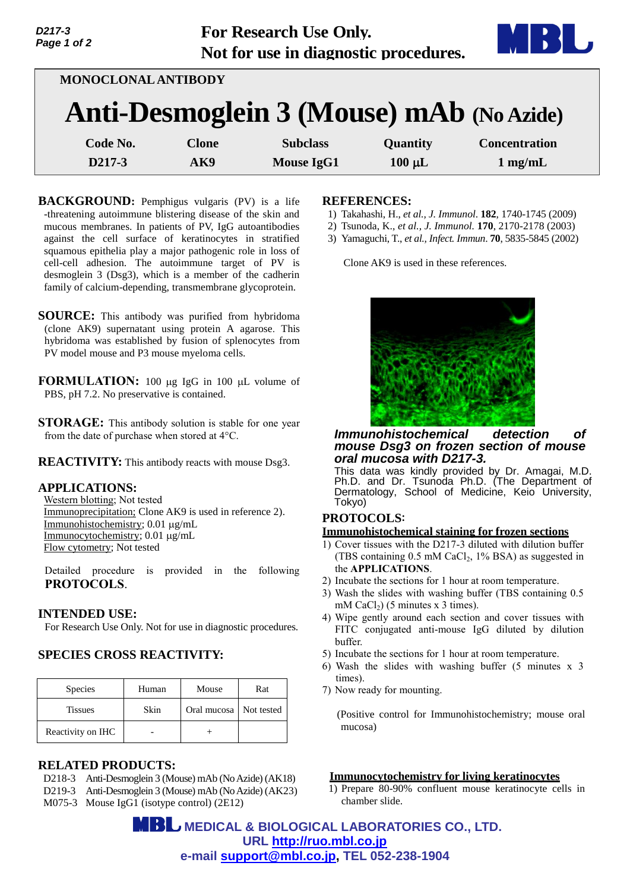

| <b>MONOCLONAL ANTIBODY</b> |                                          |                   |             |                      |  |  |  |  |
|----------------------------|------------------------------------------|-------------------|-------------|----------------------|--|--|--|--|
|                            | Anti-Desmoglein 3 (Mouse) mAb (No Azide) |                   |             |                      |  |  |  |  |
| Code No.                   | <b>Clone</b>                             | <b>Subclass</b>   | Quantity    | <b>Concentration</b> |  |  |  |  |
| D217-3                     | AK9                                      | <b>Mouse IgG1</b> | $100 \mu L$ | $1 \text{ mg/mL}$    |  |  |  |  |

j

- **BACKGROUND:** Pemphigus vulgaris (PV) is a life -threatening autoimmune blistering disease of the skin and mucous membranes. In patients of PV, IgG autoantibodies against the cell surface of keratinocytes in stratified squamous epithelia play a major pathogenic role in loss of cell-cell adhesion. The autoimmune target of PV is desmoglein 3 (Dsg3), which is a member of the cadherin family of calcium-depending, transmembrane glycoprotein.
- **SOURCE:** This antibody was purified from hybridoma (clone AK9) supernatant using protein A agarose. This hybridoma was established by fusion of splenocytes from PV model mouse and P3 mouse myeloma cells.
- **FORMULATION:** 100 µg IgG in 100 µL volume of PBS, pH 7.2. No preservative is contained.
- **STORAGE:** This antibody solution is stable for one year from the date of purchase when stored at 4°C.
- **REACTIVITY:** This antibody reacts with mouse Dsg3.

## **APPLICATIONS:**

*D217-3 Page 1 of 2*

> Western blotting; Not tested Immunoprecipitation; Clone AK9 is used in reference 2). Immunohistochemistry; 0.01 μg/mL Immunocytochemistry; 0.01 μg/mL Flow cytometry; Not tested

Detailed procedure is provided in the following **PROTOCOLS**.

#### **INTENDED USE:**

For Research Use Only. Not for use in diagnostic procedures.

## **SPECIES CROSS REACTIVITY:**

| <b>Species</b>    | Human | Mouse                    | Rat |
|-------------------|-------|--------------------------|-----|
| <b>Tissues</b>    | Skin  | Oral mucosa   Not tested |     |
| Reactivity on IHC |       |                          |     |

#### **RELATED PRODUCTS:**

- D218-3 Anti-Desmoglein 3 (Mouse) mAb (No Azide) (AK18)
- D219-3 Anti-Desmoglein 3 (Mouse) mAb (No Azide) (AK23)
- M075-3 Mouse IgG1 (isotype control) (2E12)

### **REFERENCES:**

- 1) Takahashi, H., *et al., J. Immunol*. **182**, 1740-1745 (2009)
- 2) Tsunoda, K., *et al., J. Immunol.* **170**, 2170-2178 (2003)
- 3) Yamaguchi, T., *et al., Infect. Immun*. **70**, 5835-5845 (2002)

Clone AK9 is used in these references.



#### *Immunohistochemical detection of mouse Dsg3 on frozen section of mouse oral mucosa with D217-3.*

This data was kindly provided by Dr. Amagai, M.D. Ph.D. and Dr. Tsunoda Ph.D. (The Department of Dermatology, School of Medicine, Keio University, Tokyo)

# **PROTOCOLS**:

#### **Immunohistochemical staining for frozen sections**

- 1) Cover tissues with the D217-3 diluted with dilution buffer (TBS containing  $0.5$  mM CaCl<sub>2</sub>, 1% BSA) as suggested in the **APPLICATIONS**.
- 2) Incubate the sections for 1 hour at room temperature.
- 3) Wash the slides with washing buffer (TBS containing 0.5 mM CaCl<sub>2</sub>) (5 minutes x 3 times).
- 4) Wipe gently around each section and cover tissues with FITC conjugated anti-mouse IgG diluted by dilution buffer.
- 5) Incubate the sections for 1 hour at room temperature.
- 6) Wash the slides with washing buffer (5 minutes x 3 times).
- 7) Now ready for mounting.

(Positive control for Immunohistochemistry; mouse oral mucosa)

#### **Immunocytochemistry for living keratinocytes**

1) Prepare 80-90% confluent mouse keratinocyte cells in chamber slide.

 **MEDICAL & BIOLOGICAL LABORATORIES CO., LTD. URL [http://ruo.mbl.co.jp](http://ruo.mbl.co.jp/) e-mail [support@mbl.co.jp,](mailto:support@mbl.co.jp) TEL 052-238-1904**